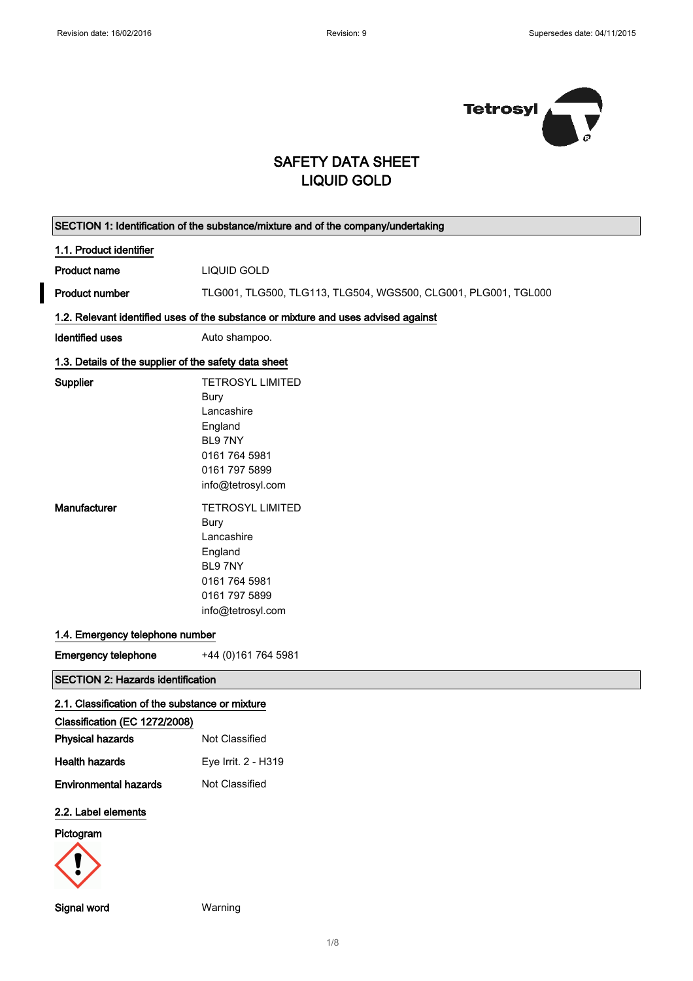$\blacksquare$ 



## SAFETY DATA SHEET LIQUID GOLD

| SECTION 1: Identification of the substance/mixture and of the company/undertaking |                                                                                                                                                                                                                                                        |  |
|-----------------------------------------------------------------------------------|--------------------------------------------------------------------------------------------------------------------------------------------------------------------------------------------------------------------------------------------------------|--|
| 1.1. Product identifier                                                           |                                                                                                                                                                                                                                                        |  |
| <b>Product name</b>                                                               | LIQUID GOLD                                                                                                                                                                                                                                            |  |
| <b>Product number</b>                                                             | TLG001, TLG500, TLG113, TLG504, WGS500, CLG001, PLG001, TGL000                                                                                                                                                                                         |  |
|                                                                                   | 1.2. Relevant identified uses of the substance or mixture and uses advised against                                                                                                                                                                     |  |
| <b>Identified uses</b>                                                            | Auto shampoo.                                                                                                                                                                                                                                          |  |
| 1.3. Details of the supplier of the safety data sheet                             |                                                                                                                                                                                                                                                        |  |
| Supplier<br>Manufacturer                                                          | <b>TETROSYL LIMITED</b><br>Bury<br>Lancashire<br>England<br>BL97NY<br>0161 764 5981<br>0161 797 5899<br>info@tetrosyl.com<br><b>TETROSYL LIMITED</b><br>Bury<br>Lancashire<br>England<br>BL97NY<br>0161 764 5981<br>0161 797 5899<br>info@tetrosyl.com |  |
| 1.4. Emergency telephone number                                                   |                                                                                                                                                                                                                                                        |  |
| <b>Emergency telephone</b>                                                        | +44 (0) 161 764 5981                                                                                                                                                                                                                                   |  |
| SECTION 2: Hazards identification                                                 |                                                                                                                                                                                                                                                        |  |
| 2.1. Classification of the substance or mixture                                   |                                                                                                                                                                                                                                                        |  |
| Classification (EC 1272/2008)                                                     |                                                                                                                                                                                                                                                        |  |
| <b>Physical hazards</b>                                                           | Not Classified                                                                                                                                                                                                                                         |  |
| <b>Health hazards</b>                                                             | Eye Irrit. 2 - H319                                                                                                                                                                                                                                    |  |
| <b>Environmental hazards</b>                                                      | Not Classified                                                                                                                                                                                                                                         |  |
| 2.2. Label elements                                                               |                                                                                                                                                                                                                                                        |  |
| Pictogram                                                                         |                                                                                                                                                                                                                                                        |  |
|                                                                                   |                                                                                                                                                                                                                                                        |  |

Signal word Warning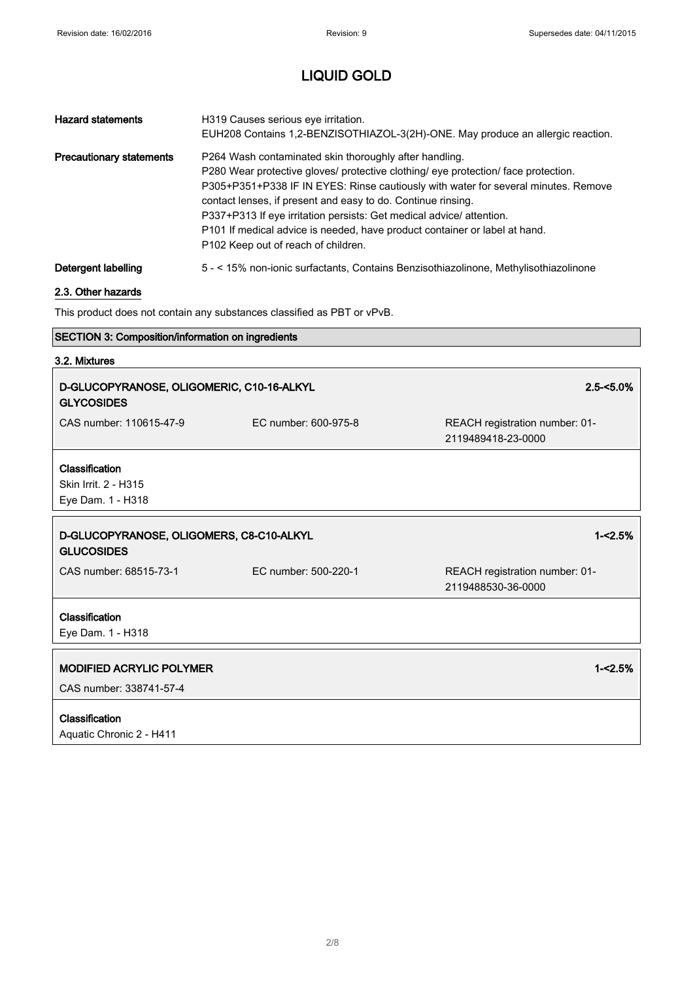٦

# LIQUID GOLD

| <b>Hazard statements</b>        | H319 Causes serious eye irritation.<br>EUH208 Contains 1,2-BENZISOTHIAZOL-3(2H)-ONE. May produce an allergic reaction.                                                                                                                                                                                                                                                                                                                                                                                      |
|---------------------------------|-------------------------------------------------------------------------------------------------------------------------------------------------------------------------------------------------------------------------------------------------------------------------------------------------------------------------------------------------------------------------------------------------------------------------------------------------------------------------------------------------------------|
| <b>Precautionary statements</b> | P264 Wash contaminated skin thoroughly after handling.<br>P280 Wear protective gloves/ protective clothing/ eye protection/ face protection.<br>P305+P351+P338 IF IN EYES: Rinse cautiously with water for several minutes. Remove<br>contact lenses, if present and easy to do. Continue rinsing.<br>P337+P313 If eye irritation persists: Get medical advice/ attention.<br>P101 If medical advice is needed, have product container or label at hand.<br>P <sub>102</sub> Keep out of reach of children. |
| Detergent labelling             | 5 - < 15% non-ionic surfactants, Contains Benzisothiazolinone, Methylisothiazolinone                                                                                                                                                                                                                                                                                                                                                                                                                        |

### 2.3. Other hazards

This product does not contain any substances classified as PBT or vPvB.

### SECTION 3: Composition/information on ingredients

### 3.2. Mixtures

I

| D-GLUCOPYRANOSE, OLIGOMERIC, C10-16-ALKYL<br><b>GLYCOSIDES</b> |                      | $2.5 - 5.0\%$                                        |
|----------------------------------------------------------------|----------------------|------------------------------------------------------|
| CAS number: 110615-47-9                                        | EC number: 600-975-8 | REACH registration number: 01-<br>2119489418-23-0000 |
| Classification<br>Skin Irrit. 2 - H315                         |                      |                                                      |
| Eye Dam. 1 - H318                                              |                      |                                                      |
| D-GLUCOPYRANOSE, OLIGOMERS, C8-C10-ALKYL<br><b>GLUCOSIDES</b>  |                      | $1 - 5%$                                             |
| CAS number: 68515-73-1                                         | EC number: 500-220-1 | REACH registration number: 01-<br>2119488530-36-0000 |
|                                                                |                      |                                                      |
| Classification<br>Eye Dam. 1 - H318                            |                      |                                                      |
| <b>MODIFIED ACRYLIC POLYMER</b>                                |                      | $1 - 2.5%$                                           |
| CAS number: 338741-57-4                                        |                      |                                                      |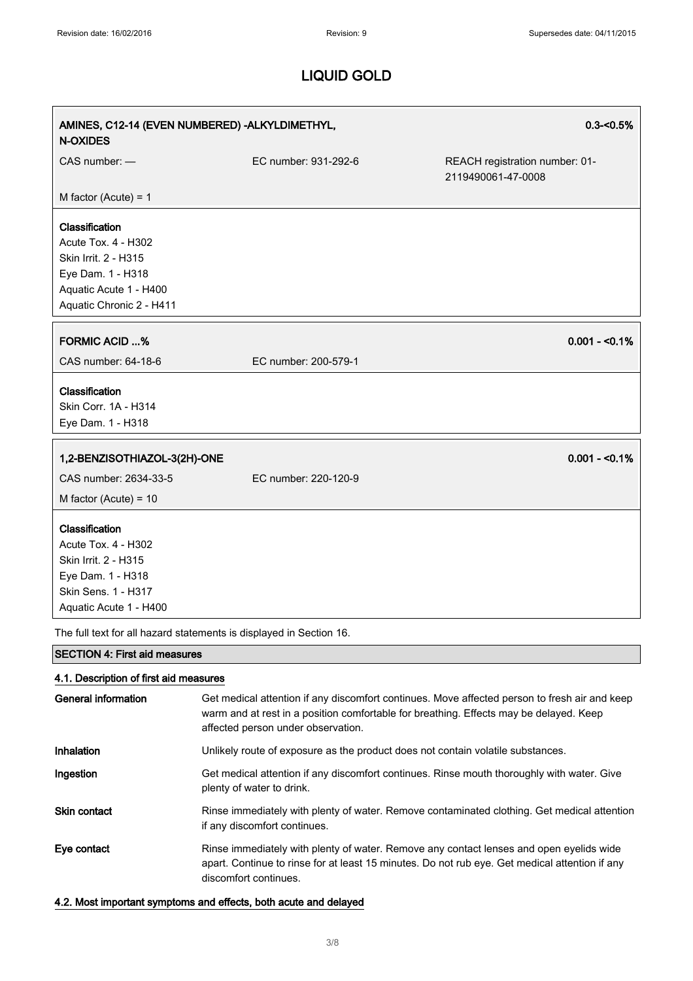| AMINES, C12-14 (EVEN NUMBERED) - ALKYLDIMETHYL,<br><b>N-OXIDES</b>  |                      | $0.3 - 0.5%$                                         |
|---------------------------------------------------------------------|----------------------|------------------------------------------------------|
| CAS number: -                                                       | EC number: 931-292-6 | REACH registration number: 01-<br>2119490061-47-0008 |
| M factor (Acute) = $1$                                              |                      |                                                      |
| Classification                                                      |                      |                                                      |
| <b>Acute Tox. 4 - H302</b>                                          |                      |                                                      |
| Skin Irrit. 2 - H315                                                |                      |                                                      |
| Eye Dam. 1 - H318                                                   |                      |                                                      |
| Aquatic Acute 1 - H400                                              |                      |                                                      |
| Aquatic Chronic 2 - H411                                            |                      |                                                      |
| <b>FORMIC ACID %</b>                                                |                      | $0.001 - 50.1%$                                      |
| CAS number: 64-18-6                                                 | EC number: 200-579-1 |                                                      |
| Classification                                                      |                      |                                                      |
| Skin Corr. 1A - H314                                                |                      |                                                      |
| Eye Dam. 1 - H318                                                   |                      |                                                      |
| 1,2-BENZISOTHIAZOL-3(2H)-ONE                                        |                      | $0.001 - 50.1%$                                      |
| CAS number: 2634-33-5                                               | EC number: 220-120-9 |                                                      |
|                                                                     |                      |                                                      |
| M factor (Acute) = $10$                                             |                      |                                                      |
| Classification                                                      |                      |                                                      |
| Acute Tox. 4 - H302                                                 |                      |                                                      |
| Skin Irrit. 2 - H315                                                |                      |                                                      |
| Eye Dam. 1 - H318                                                   |                      |                                                      |
| Skin Sens. 1 - H317                                                 |                      |                                                      |
| Aquatic Acute 1 - H400                                              |                      |                                                      |
| The full text for all hazard statements is displayed in Section 16. |                      |                                                      |

SECTION 4: First aid measures

### 4.1. Description of first aid measures

| <b>General information</b> | Get medical attention if any discomfort continues. Move affected person to fresh air and keep<br>warm and at rest in a position comfortable for breathing. Effects may be delayed. Keep<br>affected person under observation. |
|----------------------------|-------------------------------------------------------------------------------------------------------------------------------------------------------------------------------------------------------------------------------|
| Inhalation                 | Unlikely route of exposure as the product does not contain volatile substances.                                                                                                                                               |
| Ingestion                  | Get medical attention if any discomfort continues. Rinse mouth thoroughly with water. Give<br>plenty of water to drink.                                                                                                       |
| <b>Skin contact</b>        | Rinse immediately with plenty of water. Remove contaminated clothing. Get medical attention<br>if any discomfort continues.                                                                                                   |
| Eye contact                | Rinse immediately with plenty of water. Remove any contact lenses and open eyelids wide<br>apart. Continue to rinse for at least 15 minutes. Do not rub eye. Get medical attention if any<br>discomfort continues.            |

4.2. Most important symptoms and effects, both acute and delayed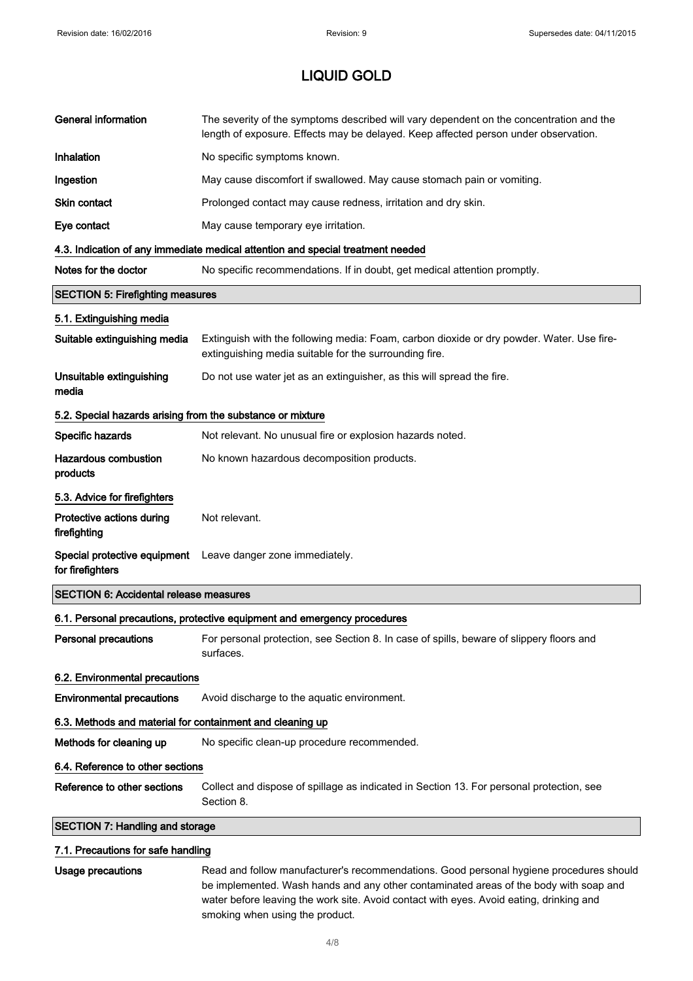| <b>General information</b>                                 | The severity of the symptoms described will vary dependent on the concentration and the<br>length of exposure. Effects may be delayed. Keep affected person under observation. |  |
|------------------------------------------------------------|--------------------------------------------------------------------------------------------------------------------------------------------------------------------------------|--|
| Inhalation                                                 | No specific symptoms known.                                                                                                                                                    |  |
| Ingestion                                                  | May cause discomfort if swallowed. May cause stomach pain or vomiting.                                                                                                         |  |
| Skin contact                                               | Prolonged contact may cause redness, irritation and dry skin.                                                                                                                  |  |
| Eye contact                                                | May cause temporary eye irritation.                                                                                                                                            |  |
|                                                            | 4.3. Indication of any immediate medical attention and special treatment needed                                                                                                |  |
| Notes for the doctor                                       | No specific recommendations. If in doubt, get medical attention promptly.                                                                                                      |  |
| <b>SECTION 5: Firefighting measures</b>                    |                                                                                                                                                                                |  |
| 5.1. Extinguishing media                                   |                                                                                                                                                                                |  |
| Suitable extinguishing media                               | Extinguish with the following media: Foam, carbon dioxide or dry powder. Water. Use fire-<br>extinguishing media suitable for the surrounding fire.                            |  |
| Unsuitable extinguishing<br>media                          | Do not use water jet as an extinguisher, as this will spread the fire.                                                                                                         |  |
| 5.2. Special hazards arising from the substance or mixture |                                                                                                                                                                                |  |
| Specific hazards                                           | Not relevant. No unusual fire or explosion hazards noted.                                                                                                                      |  |
| <b>Hazardous combustion</b><br>products                    | No known hazardous decomposition products.                                                                                                                                     |  |
| 5.3. Advice for firefighters                               |                                                                                                                                                                                |  |
| Protective actions during<br>firefighting                  | Not relevant.                                                                                                                                                                  |  |
| Special protective equipment<br>for firefighters           | Leave danger zone immediately.                                                                                                                                                 |  |
| <b>SECTION 6: Accidental release measures</b>              |                                                                                                                                                                                |  |
|                                                            | 6.1. Personal precautions, protective equipment and emergency procedures                                                                                                       |  |
| <b>Personal precautions</b>                                | For personal protection, see Section 8. In case of spills, beware of slippery floors and<br>surfaces.                                                                          |  |
| 6.2. Environmental precautions                             |                                                                                                                                                                                |  |
| <b>Environmental precautions</b>                           | Avoid discharge to the aquatic environment.                                                                                                                                    |  |
| 6.3. Methods and material for containment and cleaning up  |                                                                                                                                                                                |  |
| Methods for cleaning up                                    | No specific clean-up procedure recommended.                                                                                                                                    |  |
| 6.4. Reference to other sections                           |                                                                                                                                                                                |  |
| Reference to other sections                                | Collect and dispose of spillage as indicated in Section 13. For personal protection, see<br>Section 8.                                                                         |  |
| <b>SECTION 7: Handling and storage</b>                     |                                                                                                                                                                                |  |
| 7.1. Precautions for safe handling                         |                                                                                                                                                                                |  |

Usage precautions **Read and follow manufacturer's recommendations**. Good personal hygiene procedures should be implemented. Wash hands and any other contaminated areas of the body with soap and water before leaving the work site. Avoid contact with eyes. Avoid eating, drinking and smoking when using the product.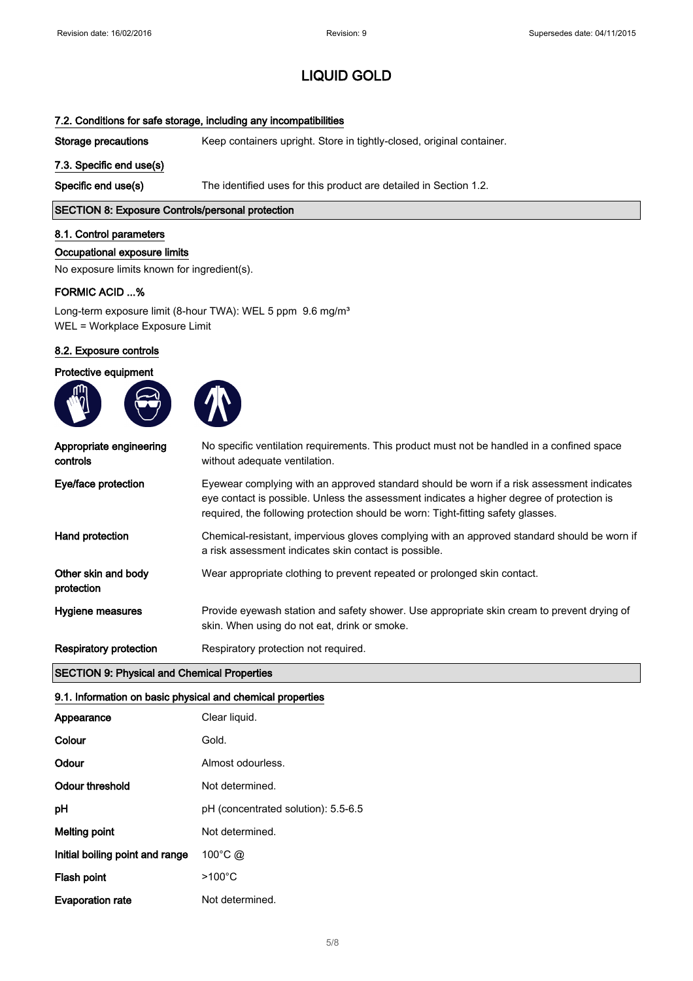### 7.2. Conditions for safe storage, including any incompatibilities

Storage precautions Keep containers upright. Store in tightly-closed, original container.

#### 7.3. Specific end use(s)

Specific end use(s) The identified uses for this product are detailed in Section 1.2.

### SECTION 8: Exposure Controls/personal protection

#### 8.1. Control parameters

#### Occupational exposure limits

No exposure limits known for ingredient(s).

#### FORMIC ACID ...%

Long-term exposure limit (8-hour TWA): WEL 5 ppm 9.6 mg/m<sup>3</sup> WEL = Workplace Exposure Limit

#### 8.2. Exposure controls

#### Protective equipment





| Appropriate engineering<br>controls | No specific ventilation requirements. This product must not be handled in a confined space<br>without adequate ventilation.                                                                                                                                                |
|-------------------------------------|----------------------------------------------------------------------------------------------------------------------------------------------------------------------------------------------------------------------------------------------------------------------------|
| Eye/face protection                 | Eyewear complying with an approved standard should be worn if a risk assessment indicates<br>eye contact is possible. Unless the assessment indicates a higher degree of protection is<br>required, the following protection should be worn: Tight-fitting safety glasses. |
| Hand protection                     | Chemical-resistant, impervious gloves complying with an approved standard should be worn if<br>a risk assessment indicates skin contact is possible.                                                                                                                       |
| Other skin and body<br>protection   | Wear appropriate clothing to prevent repeated or prolonged skin contact.                                                                                                                                                                                                   |
| Hygiene measures                    | Provide eyewash station and safety shower. Use appropriate skin cream to prevent drying of<br>skin. When using do not eat, drink or smoke.                                                                                                                                 |
| <b>Respiratory protection</b>       | Respiratory protection not required.                                                                                                                                                                                                                                       |

#### SECTION 9: Physical and Chemical Properties

### 9.1. Information on basic physical and chemical properties

| Appearance                      | Clear liquid.                       |
|---------------------------------|-------------------------------------|
| Colour                          | Gold.                               |
| Odour                           | Almost odourless.                   |
| Odour threshold                 | Not determined.                     |
| рH                              | pH (concentrated solution): 5.5-6.5 |
| Melting point                   | Not determined.                     |
| Initial boiling point and range | $100^{\circ}$ C @                   |
| Flash point                     | $>100^{\circ}$ C                    |
| <b>Evaporation rate</b>         | Not determined.                     |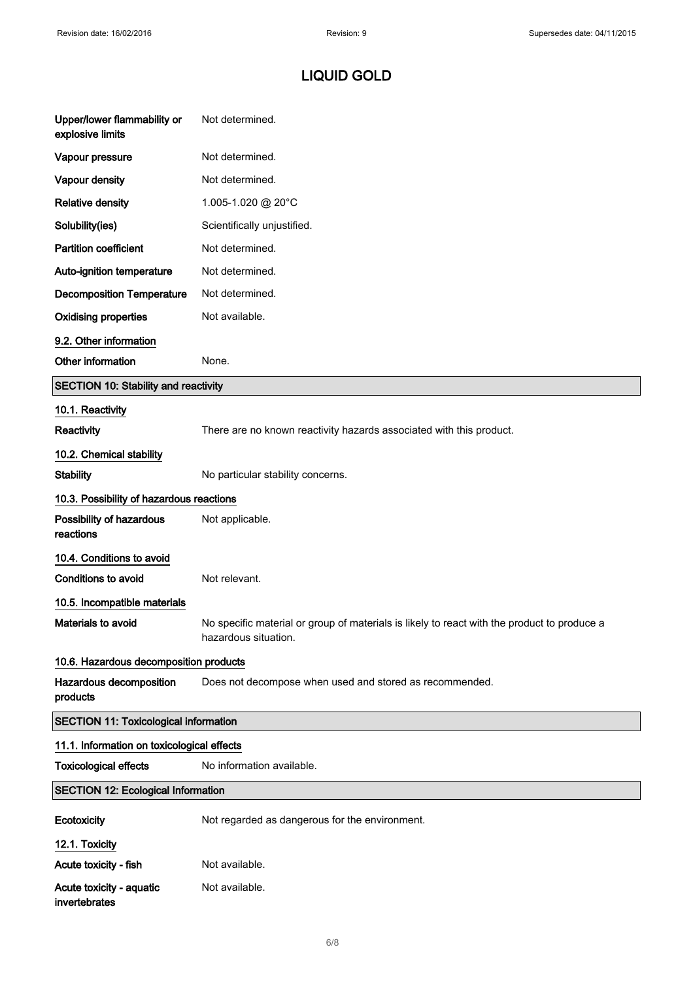| Upper/lower flammability or<br>explosive limits | Not determined.                                                                                                     |  |
|-------------------------------------------------|---------------------------------------------------------------------------------------------------------------------|--|
| Vapour pressure                                 | Not determined.                                                                                                     |  |
| Vapour density                                  | Not determined.                                                                                                     |  |
| <b>Relative density</b>                         | 1.005-1.020 @ 20°C                                                                                                  |  |
| Solubility(ies)                                 | Scientifically unjustified.                                                                                         |  |
| <b>Partition coefficient</b>                    | Not determined.                                                                                                     |  |
| Auto-ignition temperature                       | Not determined.                                                                                                     |  |
| <b>Decomposition Temperature</b>                | Not determined.                                                                                                     |  |
| <b>Oxidising properties</b>                     | Not available.                                                                                                      |  |
| 9.2. Other information                          |                                                                                                                     |  |
| Other information                               | None.                                                                                                               |  |
| SECTION 10: Stability and reactivity            |                                                                                                                     |  |
| 10.1. Reactivity                                |                                                                                                                     |  |
| Reactivity                                      | There are no known reactivity hazards associated with this product.                                                 |  |
| 10.2. Chemical stability                        |                                                                                                                     |  |
| <b>Stability</b>                                | No particular stability concerns.                                                                                   |  |
| 10.3. Possibility of hazardous reactions        |                                                                                                                     |  |
| Possibility of hazardous<br>reactions           | Not applicable.                                                                                                     |  |
| 10.4. Conditions to avoid                       |                                                                                                                     |  |
| <b>Conditions to avoid</b>                      | Not relevant.                                                                                                       |  |
| 10.5. Incompatible materials                    |                                                                                                                     |  |
| Materials to avoid                              | No specific material or group of materials is likely to react with the product to produce a<br>hazardous situation. |  |
| 10.6. Hazardous decomposition products          |                                                                                                                     |  |
| Hazardous decomposition<br>products             | Does not decompose when used and stored as recommended.                                                             |  |
| <b>SECTION 11: Toxicological information</b>    |                                                                                                                     |  |
| 11.1. Information on toxicological effects      |                                                                                                                     |  |
| <b>Toxicological effects</b>                    | No information available.                                                                                           |  |
| <b>SECTION 12: Ecological Information</b>       |                                                                                                                     |  |
| Ecotoxicity                                     | Not regarded as dangerous for the environment.                                                                      |  |
| 12.1. Toxicity                                  |                                                                                                                     |  |
| Acute toxicity - fish                           | Not available.                                                                                                      |  |
| Acute toxicity - aquatic<br>invertebrates       | Not available.                                                                                                      |  |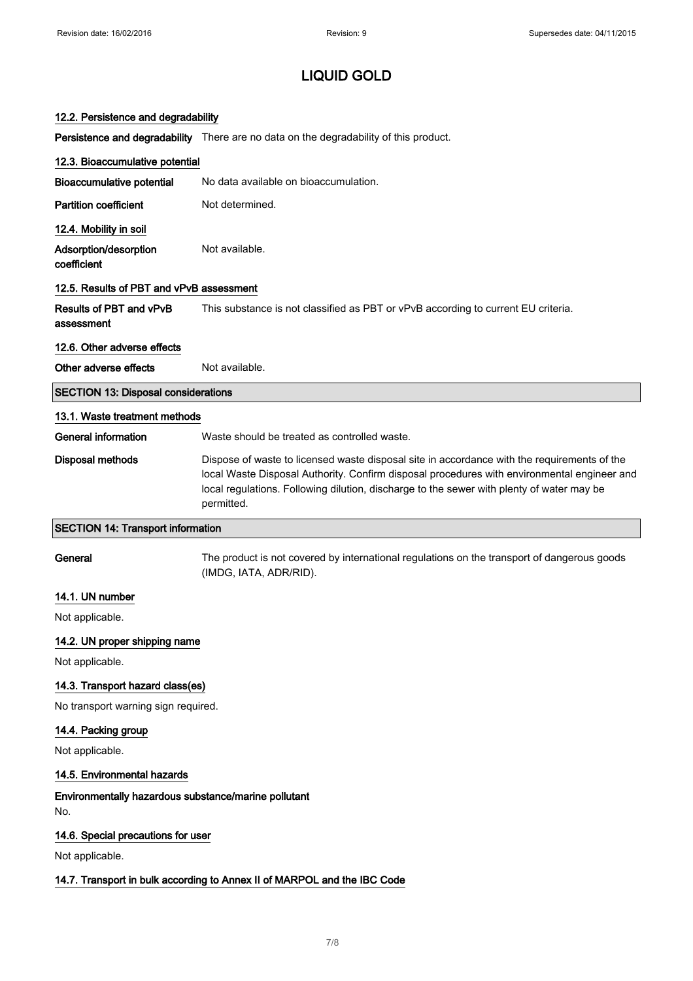|  |  |  | 12.2. Persistence and degradability |
|--|--|--|-------------------------------------|
|--|--|--|-------------------------------------|

Persistence and degradability There are no data on the degradability of this product.

| 12.3. Bioaccumulative potential                             |                                                                                                                                                                                                                                                                                                       |
|-------------------------------------------------------------|-------------------------------------------------------------------------------------------------------------------------------------------------------------------------------------------------------------------------------------------------------------------------------------------------------|
| <b>Bioaccumulative potential</b>                            | No data available on bioaccumulation.                                                                                                                                                                                                                                                                 |
| <b>Partition coefficient</b>                                | Not determined.                                                                                                                                                                                                                                                                                       |
| 12.4. Mobility in soil                                      |                                                                                                                                                                                                                                                                                                       |
| Adsorption/desorption<br>coefficient                        | Not available.                                                                                                                                                                                                                                                                                        |
| 12.5. Results of PBT and vPvB assessment                    |                                                                                                                                                                                                                                                                                                       |
| Results of PBT and vPvB<br>assessment                       | This substance is not classified as PBT or vPvB according to current EU criteria.                                                                                                                                                                                                                     |
| 12.6. Other adverse effects                                 |                                                                                                                                                                                                                                                                                                       |
| Other adverse effects                                       | Not available.                                                                                                                                                                                                                                                                                        |
| <b>SECTION 13: Disposal considerations</b>                  |                                                                                                                                                                                                                                                                                                       |
| 13.1. Waste treatment methods                               |                                                                                                                                                                                                                                                                                                       |
| <b>General information</b>                                  | Waste should be treated as controlled waste.                                                                                                                                                                                                                                                          |
| <b>Disposal methods</b>                                     | Dispose of waste to licensed waste disposal site in accordance with the requirements of the<br>local Waste Disposal Authority. Confirm disposal procedures with environmental engineer and<br>local regulations. Following dilution, discharge to the sewer with plenty of water may be<br>permitted. |
| <b>SECTION 14: Transport information</b>                    |                                                                                                                                                                                                                                                                                                       |
|                                                             |                                                                                                                                                                                                                                                                                                       |
| General                                                     | The product is not covered by international regulations on the transport of dangerous goods<br>(IMDG, IATA, ADR/RID).                                                                                                                                                                                 |
| 14.1. UN number                                             |                                                                                                                                                                                                                                                                                                       |
| Not applicable.                                             |                                                                                                                                                                                                                                                                                                       |
| 14.2. UN proper shipping name                               |                                                                                                                                                                                                                                                                                                       |
| Not applicable.                                             |                                                                                                                                                                                                                                                                                                       |
| 14.3. Transport hazard class(es)                            |                                                                                                                                                                                                                                                                                                       |
| No transport warning sign required.                         |                                                                                                                                                                                                                                                                                                       |
| 14.4. Packing group                                         |                                                                                                                                                                                                                                                                                                       |
| Not applicable.                                             |                                                                                                                                                                                                                                                                                                       |
| 14.5. Environmental hazards                                 |                                                                                                                                                                                                                                                                                                       |
| Environmentally hazardous substance/marine pollutant<br>No. |                                                                                                                                                                                                                                                                                                       |
| 14.6. Special precautions for user                          |                                                                                                                                                                                                                                                                                                       |
| Not applicable.                                             |                                                                                                                                                                                                                                                                                                       |